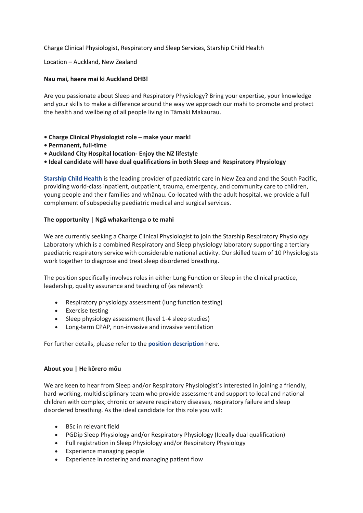Charge Clinical Physiologist, Respiratory and Sleep Services, Starship Child Health

Location – Auckland, New Zealand

#### **Nau mai, haere mai ki Auckland DHB!**

Are you passionate about Sleep and Respiratory Physiology? Bring your expertise, your knowledge and your skills to make a difference around the way we approach our mahi to promote and protect the health and wellbeing of all people living in Tāmaki Makaurau.

- **• Charge Clinical Physiologist role – make your mark!**
- **• Permanent, full-time**
- **• Auckland City Hospital location- Enjoy the NZ lifestyle**
- **• Ideal candidate will have dual qualifications in both Sleep and Respiratory Physiology**

**[Starship](http://careers.adhb.govt.nz/areas-of-specialty/child-health/) Child Health** is the leading provider of paediatric care in New Zealand and the South Pacific, providing world-class inpatient, outpatient, trauma, emergency, and community care to children, young people and their families and whānau. Co-located with the adult hospital, we provide a full complement of subspecialty paediatric medical and surgical services.

### **The opportunity | Ngā whakaritenga o te mahi**

We are currently seeking a Charge Clinical Physiologist to join the Starship Respiratory Physiology Laboratory which is a combined Respiratory and Sleep physiology laboratory supporting a tertiary paediatric respiratory service with considerable national activity. Our skilled team of 10 Physiologists work together to diagnose and treat sleep disordered breathing.

The position specifically involves roles in either Lung Function or Sleep in the clinical practice, leadership, quality assurance and teaching of (as relevant):

- Respiratory physiology assessment (lung function testing)
- Exercise testing
- Sleep physiology assessment (level 1-4 sleep studies)
- Long-term CPAP, non-invasive and invasive ventilation

For further details, please refer to the **position [description](https://drive.google.com/file/d/1OPSpBPOxkA42UU0ZUIWHfi2M84HPEs6G/view?usp=sharing)** here.

### **About you | He kōrero mōu**

We are keen to hear from Sleep and/or Respiratory Physiologist's interested in joining a friendly, hard-working, multidisciplinary team who provide assessment and support to local and national children with complex, chronic or severe respiratory diseases, respiratory failure and sleep disordered breathing. As the ideal candidate for this role you will:

- BSc in relevant field
- PGDip Sleep Physiology and/or Respiratory Physiology (Ideally dual qualification)
- Full registration in Sleep Physiology and/or Respiratory Physiology
- Experience managing people
- Experience in rostering and managing patient flow